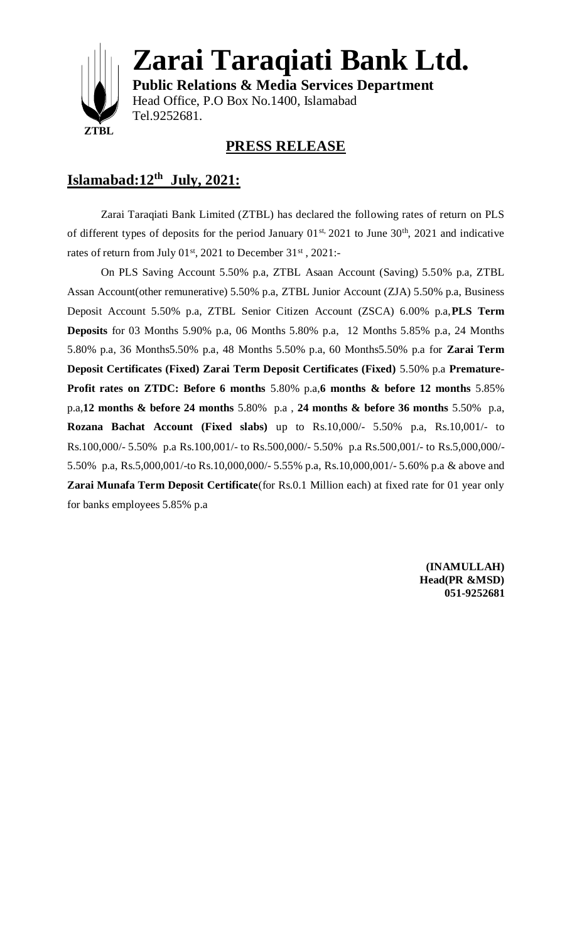

**Zarai Taraqiati Bank Ltd.**

**Public Relations & Media Services Department** Head Office, P.O Box No.1400, Islamabad Tel.9252681.

#### **PRESS RELEASE**

### **Islamabad:12th July, 2021:**

Zarai Taraqiati Bank Limited (ZTBL) has declared the following rates of return on PLS of different types of deposits for the period January  $01^{st}$ ,  $2021$  to June  $30^{th}$ ,  $2021$  and indicative rates of return from July  $01^{st}$ , 2021 to December  $31^{st}$ , 2021:-

On PLS Saving Account 5.50% p.a, ZTBL Asaan Account (Saving) 5.50% p.a, ZTBL Assan Account(other remunerative) 5.50% p.a, ZTBL Junior Account (ZJA) 5.50% p.a, Business Deposit Account 5.50% p.a, ZTBL Senior Citizen Account (ZSCA) 6.00% p.a,**PLS Term Deposits** for 03 Months 5.90% p.a, 06 Months 5.80% p.a, 12 Months 5.85% p.a, 24 Months 5.80% p.a, 36 Months5.50% p.a, 48 Months 5.50% p.a, 60 Months5.50% p.a for **Zarai Term Deposit Certificates (Fixed) Zarai Term Deposit Certificates (Fixed)** 5.50% p.a **Premature-Profit rates on ZTDC: Before 6 months** 5.80% p.a,**6 months & before 12 months** 5.85% p.a,**12 months & before 24 months** 5.80% p.a , **24 months & before 36 months** 5.50% p.a, **Rozana Bachat Account (Fixed slabs)** up to Rs.10,000/- 5.50% p.a, Rs.10,001/- to Rs.100,000/- 5.50% p.a Rs.100,001/- to Rs.500,000/- 5.50% p.a Rs.500,001/- to Rs.5,000,000/- 5.50% p.a, Rs.5,000,001/-to Rs.10,000,000/- 5.55% p.a, Rs.10,000,001/- 5.60% p.a & above and **Zarai Munafa Term Deposit Certificate**(for Rs.0.1 Million each) at fixed rate for 01 year only for banks employees 5.85% p.a

> **(INAMULLAH) Head(PR &MSD) 051-9252681**